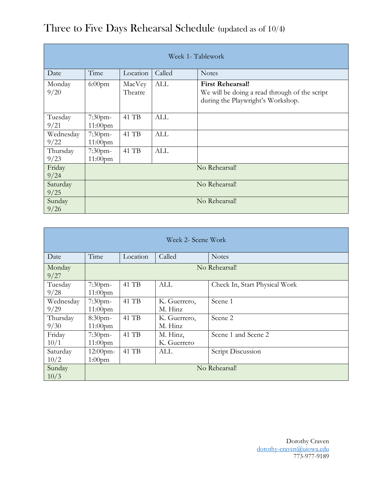| Week 1- Tablework |                          |                   |            |                                                                                                               |  |
|-------------------|--------------------------|-------------------|------------|---------------------------------------------------------------------------------------------------------------|--|
| Date              | Time                     | Location          | Called     | <b>Notes</b>                                                                                                  |  |
| Monday<br>9/20    | $6:00$ pm                | MacVey<br>Theatre | ALL        | <b>First Rehearsal!</b><br>We will be doing a read through of the script<br>during the Playwright's Workshop. |  |
| Tuesday<br>9/21   | $7:30$ pm-<br>$11:00$ pm | 41 TB             | ALL        |                                                                                                               |  |
| Wednesday<br>9/22 | 7:30pm-<br>$11:00$ pm    | 41 TB             | <b>ALL</b> |                                                                                                               |  |
| Thursday<br>9/23  | 7:30pm-<br>$11:00$ pm    | 41 TB             | <b>ALL</b> |                                                                                                               |  |
| Friday<br>9/24    | No Rehearsal!            |                   |            |                                                                                                               |  |
| Saturday<br>9/25  | No Rehearsal!            |                   |            |                                                                                                               |  |
| Sunday<br>9/26    | No Rehearsal!            |                   |            |                                                                                                               |  |

## Three to Five Days Rehearsal Schedule (updated as of 10/4)

| Week 2- Scene Work |                          |          |                         |                               |  |  |
|--------------------|--------------------------|----------|-------------------------|-------------------------------|--|--|
| Date               | Time                     | Location | Called                  | <b>Notes</b>                  |  |  |
| Monday<br>9/27     | No Rehearsal!            |          |                         |                               |  |  |
| Tuesday<br>9/28    | 7:30pm-<br>$11:00$ pm    | 41 TB    | ALL                     | Check In, Start Physical Work |  |  |
| Wednesday<br>9/29  | $7:30$ pm-<br>$11:00$ pm | 41 TB    | K. Guerrero,<br>M. Hinz | Scene 1                       |  |  |
| Thursday<br>9/30   | 8:30pm-<br>$11:00$ pm    | 41 TB    | K. Guerrero,<br>M. Hinz | Scene 2                       |  |  |
| Friday<br>10/1     | $7:30$ pm-<br>$11:00$ pm | 41 TB    | M. Hinz,<br>K. Guerrero | Scene 1 and Scene 2           |  |  |
| Saturday<br>10/2   | $12:00$ pm-<br>$1:00$ pm | 41 TB    | ALL                     | Script Discussion             |  |  |
| Sunday<br>10/3     | No Rehearsal!            |          |                         |                               |  |  |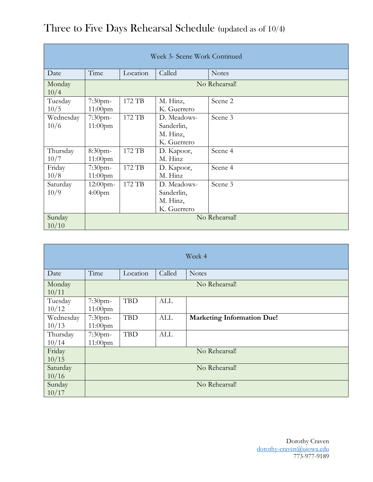| Week 3- Scene Work Continued |                                            |        |                                                      |         |  |  |  |
|------------------------------|--------------------------------------------|--------|------------------------------------------------------|---------|--|--|--|
| Date                         | Time<br>Called<br>Location<br><b>Notes</b> |        |                                                      |         |  |  |  |
| Monday<br>10/4               | No Rehearsal!                              |        |                                                      |         |  |  |  |
| Tuesday<br>10/5              | $7:30$ pm-<br>$11:00$ pm                   | 172 TB | Scene 2<br>M. Hinz,<br>K. Guerrero                   |         |  |  |  |
| Wednesday<br>10/6            | $7:30$ pm-<br>$11:00$ pm                   | 172 TB | D. Meadows-<br>Sanderlin,<br>M. Hinz,<br>K. Guerrero | Scene 3 |  |  |  |
| Thursday<br>10/7             | 8:30pm-<br>$11:00$ pm                      | 172 TB | D. Kapoor,<br>M. Hinz                                | Scene 4 |  |  |  |
| Friday<br>10/8               | $7:30$ pm-<br>$11:00$ pm                   | 172 TB | D. Kapoor,<br>M. Hinz                                | Scene 4 |  |  |  |
| Saturday<br>10/9             | $12:00$ pm-<br>4:00 <sub>pm</sub>          | 172 TB | D. Meadows-<br>Sanderlin,<br>M. Hinz,<br>K. Guerrero | Scene 3 |  |  |  |
| Sunday<br>10/10              | No Rehearsal!                              |        |                                                      |         |  |  |  |

| Three to Five Days Rehearsal Schedule (updated as of 10/4) |  |
|------------------------------------------------------------|--|
|------------------------------------------------------------|--|

| Week 4             |                       |            |            |                                   |  |
|--------------------|-----------------------|------------|------------|-----------------------------------|--|
| Date               | Time                  | Location   | Called     | <b>Notes</b>                      |  |
| Monday<br>10/11    | No Rehearsal!         |            |            |                                   |  |
| Tuesday<br>10/12   | 7:30pm-<br>$11:00$ pm | <b>TBD</b> | <b>ALL</b> |                                   |  |
| Wednesday<br>10/13 | 7:30pm-<br>$11:00$ pm | <b>TBD</b> | <b>ALL</b> | <b>Marketing Information Due!</b> |  |
| Thursday<br>10/14  | 7:30pm-<br>11:00pm    | <b>TBD</b> | <b>ALL</b> |                                   |  |
| Friday<br>10/15    | No Rehearsal!         |            |            |                                   |  |
| Saturday<br>10/16  | No Rehearsal!         |            |            |                                   |  |
| Sunday<br>10/17    | No Rehearsal!         |            |            |                                   |  |